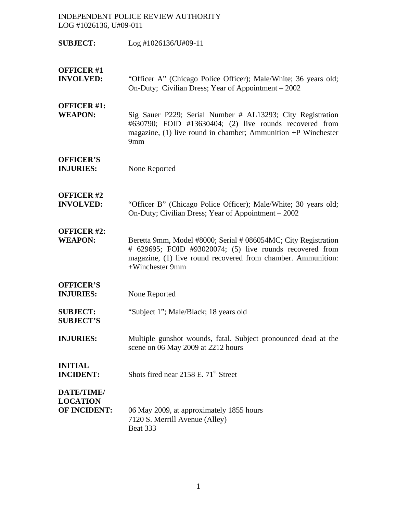- **SUBJECT:** Log #1026136/U#09-11
- **OFFICER #1**
- **INVOLVED:** "Officer A" (Chicago Police Officer); Male/White; 36 years old; On-Duty; Civilian Dress; Year of Appointment – 2002

### **OFFICER #1:**

**WEAPON:** Sig Sauer P229; Serial Number # AL13293; City Registration #630790; FOID #13630404; (2) live rounds recovered from magazine, (1) live round in chamber; Ammunition +P Winchester 9mm

### **OFFICER'S**

**INJURIES:** None Reported

### **OFFICER #2**

**INVOLVED:** "Officer B" (Chicago Police Officer); Male/White; 30 years old; On-Duty; Civilian Dress; Year of Appointment – 2002

## **OFFICER #2:**

**WEAPON:** Beretta 9mm, Model #8000; Serial # 086054MC; City Registration # 629695; FOID #93020074; (5) live rounds recovered from magazine, (1) live round recovered from chamber. Ammunition: +Winchester 9mm

### **OFFICER'S**

- **INJURIES:** None Reported
- **SUBJECT:** "Subject 1"; Male/Black; 18 years old **SUBJECT'S**
- **INJURIES:** Multiple gunshot wounds, fatal. Subject pronounced dead at the scene on 06 May 2009 at 2212 hours

# **INITIAL**

**INCIDENT:** Shots fired near 2158 E. 71<sup>st</sup> Street

## **DATE/TIME/ LOCATION**

**OF INCIDENT:** 06 May 2009, at approximately 1855 hours 7120 S. Merrill Avenue (Alley) Beat 333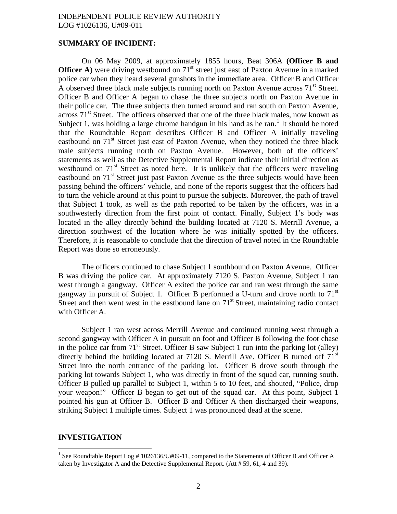#### **SUMMARY OF INCIDENT:**

On 06 May 2009, at approximately 1855 hours, Beat 306A **(Officer B and Officer A**) were driving westbound on 71<sup>st</sup> street just east of Paxton Avenue in a marked police car when they heard several gunshots in the immediate area. Officer B and Officer A observed three black male subjects running north on Paxton Avenue across  $71<sup>st</sup>$  Street. Officer B and Officer A began to chase the three subjects north on Paxton Avenue in their police car. The three subjects then turned around and ran south on Paxton Avenue, across  $71<sup>st</sup>$  Street. The officers observed that one of the three black males, now known as Subject [1](#page-1-0), was holding a large chrome handgun in his hand as he ran.<sup>1</sup> It should be noted that the Roundtable Report describes Officer B and Officer A initially traveling eastbound on  $71<sup>st</sup>$  Street just east of Paxton Avenue, when they noticed the three black male subjects running north on Paxton Avenue. However, both of the officers' statements as well as the Detective Supplemental Report indicate their initial direction as westbound on  $71<sup>st</sup>$  Street as noted here. It is unlikely that the officers were traveling eastbound on  $71<sup>st</sup>$  Street just past Paxton Avenue as the three subjects would have been passing behind the officers' vehicle, and none of the reports suggest that the officers had to turn the vehicle around at this point to pursue the subjects. Moreover, the path of travel that Subject 1 took, as well as the path reported to be taken by the officers, was in a southwesterly direction from the first point of contact. Finally, Subject 1's body was located in the alley directly behind the building located at 7120 S. Merrill Avenue, a direction southwest of the location where he was initially spotted by the officers. Therefore, it is reasonable to conclude that the direction of travel noted in the Roundtable Report was done so erroneously.

The officers continued to chase Subject 1 southbound on Paxton Avenue. Officer B was driving the police car. At approximately 7120 S. Paxton Avenue, Subject 1 ran west through a gangway. Officer A exited the police car and ran west through the same gangway in pursuit of Subject 1. Officer B performed a U-turn and drove north to  $71<sup>st</sup>$ Street and then went west in the eastbound lane on  $71<sup>st</sup>$  Street, maintaining radio contact with Officer A.

Subject 1 ran west across Merrill Avenue and continued running west through a second gangway with Officer A in pursuit on foot and Officer B following the foot chase in the police car from  $71<sup>st</sup>$  Street. Officer B saw Subject 1 run into the parking lot (alley) directly behind the building located at 7120 S. Merrill Ave. Officer B turned off 71<sup>st</sup> Street into the north entrance of the parking lot. Officer B drove south through the parking lot towards Subject 1, who was directly in front of the squad car, running south. Officer B pulled up parallel to Subject 1, within 5 to 10 feet, and shouted, "Police, drop your weapon!" Officer B began to get out of the squad car. At this point, Subject 1 pointed his gun at Officer B. Officer B and Officer A then discharged their weapons, striking Subject 1 multiple times. Subject 1 was pronounced dead at the scene.

#### **INVESTIGATION**

<span id="page-1-0"></span><sup>1&</sup>lt;br>
<sup>1</sup> See Roundtable Report Log # 1026136/U#09-11, compared to the Statements of Officer B and Officer A taken by Investigator A and the Detective Supplemental Report. (Att # 59, 61, 4 and 39).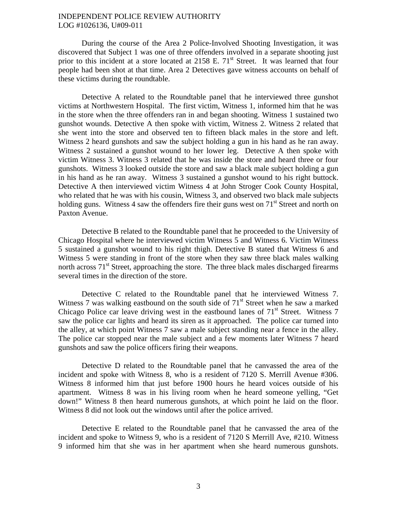During the course of the Area 2 Police-Involved Shooting Investigation, it was discovered that Subject 1 was one of three offenders involved in a separate shooting just prior to this incident at a store located at 2158 E. 71<sup>st</sup> Street. It was learned that four people had been shot at that time. Area 2 Detectives gave witness accounts on behalf of these victims during the roundtable.

Detective A related to the Roundtable panel that he interviewed three gunshot victims at Northwestern Hospital. The first victim, Witness 1, informed him that he was in the store when the three offenders ran in and began shooting. Witness 1 sustained two gunshot wounds. Detective A then spoke with victim, Witness 2. Witness 2 related that she went into the store and observed ten to fifteen black males in the store and left. Witness 2 heard gunshots and saw the subject holding a gun in his hand as he ran away. Witness 2 sustained a gunshot wound to her lower leg. Detective A then spoke with victim Witness 3. Witness 3 related that he was inside the store and heard three or four gunshots. Witness 3 looked outside the store and saw a black male subject holding a gun in his hand as he ran away. Witness 3 sustained a gunshot wound to his right buttock. Detective A then interviewed victim Witness 4 at John Stroger Cook County Hospital, who related that he was with his cousin, Witness 3, and observed two black male subjects holding guns. Witness 4 saw the offenders fire their guns west on  $71<sup>st</sup>$  Street and north on Paxton Avenue.

Detective B related to the Roundtable panel that he proceeded to the University of Chicago Hospital where he interviewed victim Witness 5 and Witness 6. Victim Witness 5 sustained a gunshot wound to his right thigh. Detective B stated that Witness 6 and Witness 5 were standing in front of the store when they saw three black males walking north across  $71<sup>st</sup>$  Street, approaching the store. The three black males discharged firearms several times in the direction of the store.

Detective C related to the Roundtable panel that he interviewed Witness 7. Witness 7 was walking eastbound on the south side of  $71<sup>st</sup>$  Street when he saw a marked Chicago Police car leave driving west in the eastbound lanes of  $71<sup>st</sup>$  Street. Witness 7 saw the police car lights and heard its siren as it approached. The police car turned into the alley, at which point Witness 7 saw a male subject standing near a fence in the alley. The police car stopped near the male subject and a few moments later Witness 7 heard gunshots and saw the police officers firing their weapons.

Detective D related to the Roundtable panel that he canvassed the area of the incident and spoke with Witness 8, who is a resident of 7120 S. Merrill Avenue #306. Witness 8 informed him that just before 1900 hours he heard voices outside of his apartment. Witness 8 was in his living room when he heard someone yelling, "Get down!" Witness 8 then heard numerous gunshots, at which point he laid on the floor. Witness 8 did not look out the windows until after the police arrived.

Detective E related to the Roundtable panel that he canvassed the area of the incident and spoke to Witness 9, who is a resident of 7120 S Merrill Ave, #210. Witness 9 informed him that she was in her apartment when she heard numerous gunshots.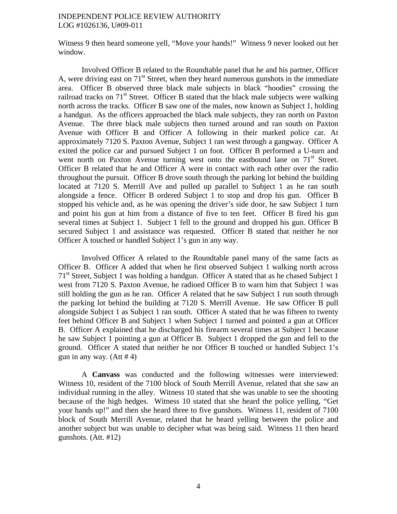Witness 9 then heard someone yell, "Move your hands!" Witness 9 never looked out her window.

Involved Officer B related to the Roundtable panel that he and his partner, Officer A, were driving east on  $71<sup>st</sup>$  Street, when they heard numerous gunshots in the immediate area. Officer B observed three black male subjects in black "hoodies" crossing the railroad tracks on  $71<sup>st</sup>$  Street. Officer B stated that the black male subjects were walking north across the tracks. Officer B saw one of the males, now known as Subject 1, holding a handgun. As the officers approached the black male subjects, they ran north on Paxton Avenue. The three black male subjects then turned around and ran south on Paxton Avenue with Officer B and Officer A following in their marked police car. At approximately 7120 S. Paxton Avenue, Subject 1 ran west through a gangway. Officer A exited the police car and pursued Subject 1 on foot. Officer B performed a U-turn and went north on Paxton Avenue turning west onto the eastbound lane on 71<sup>st</sup> Street. Officer B related that he and Officer A were in contact with each other over the radio throughout the pursuit. Officer B drove south through the parking lot behind the building located at 7120 S. Merrill Ave and pulled up parallel to Subject 1 as he ran south alongside a fence. Officer B ordered Subject 1 to stop and drop his gun. Officer B stopped his vehicle and, as he was opening the driver's side door, he saw Subject 1 turn and point his gun at him from a distance of five to ten feet. Officer B fired his gun several times at Subject 1. Subject 1 fell to the ground and dropped his gun. Officer B secured Subject 1 and assistance was requested. Officer B stated that neither he nor Officer A touched or handled Subject 1's gun in any way.

Involved Officer A related to the Roundtable panel many of the same facts as Officer B. Officer A added that when he first observed Subject 1 walking north across 71<sup>st</sup> Street, Subject 1 was holding a handgun. Officer A stated that as he chased Subject 1 west from 7120 S. Paxton Avenue, he radioed Officer B to warn him that Subject 1 was still holding the gun as he ran. Officer A related that he saw Subject 1 run south through the parking lot behind the building at 7120 S. Merrill Avenue. He saw Officer B pull alongside Subject 1 as Subject 1 ran south. Officer A stated that he was fifteen to twenty feet behind Officer B and Subject 1 when Subject 1 turned and pointed a gun at Officer B. Officer A explained that he discharged his firearm several times at Subject 1 because he saw Subject 1 pointing a gun at Officer B. Subject 1 dropped the gun and fell to the ground. Officer A stated that neither he nor Officer B touched or handled Subject 1's gun in any way.  $(Att # 4)$ 

A **Canvass** was conducted and the following witnesses were interviewed: Witness 10, resident of the 7100 block of South Merrill Avenue, related that she saw an individual running in the alley. Witness 10 stated that she was unable to see the shooting because of the high hedges. Witness 10 stated that she heard the police yelling, "Get your hands up!" and then she heard three to five gunshots. Witness 11, resident of 7100 block of South Merrill Avenue, related that he heard yelling between the police and another subject but was unable to decipher what was being said. Witness 11 then heard gunshots. (Att. #12)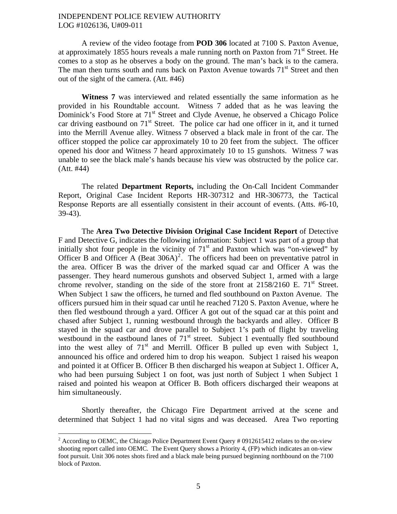A review of the video footage from **POD 306** located at 7100 S. Paxton Avenue, at approximately 1855 hours reveals a male running north on Paxton from 71<sup>st</sup> Street. He comes to a stop as he observes a body on the ground. The man's back is to the camera. The man then turns south and runs back on Paxton Avenue towards  $71<sup>st</sup>$  Street and then out of the sight of the camera. (Att. #46)

**Witness 7** was interviewed and related essentially the same information as he provided in his Roundtable account. Witness 7 added that as he was leaving the Dominick's Food Store at 71<sup>st</sup> Street and Clyde Avenue, he observed a Chicago Police car driving eastbound on  $71<sup>st</sup>$  Street. The police car had one officer in it, and it turned into the Merrill Avenue alley. Witness 7 observed a black male in front of the car. The officer stopped the police car approximately 10 to 20 feet from the subject. The officer opened his door and Witness 7 heard approximately 10 to 15 gunshots. Witness 7 was unable to see the black male's hands because his view was obstructed by the police car. (Att. #44)

The related **Department Reports,** including the On-Call Incident Commander Report, Original Case Incident Reports HR-307312 and HR-306773, the Tactical Response Reports are all essentially consistent in their account of events. (Atts. #6-10, 39-43).

The **Area Two Detective Division Original Case Incident Report** of Detective F and Detective G, indicates the following information: Subject 1 was part of a group that initially shot four people in the vicinity of  $71<sup>st</sup>$  and Paxton which was "on-viewed" by Officer B and Officer A (Beat  $306A$ )<sup>[2](#page-4-0)</sup>. The officers had been on preventative patrol in the area. Officer B was the driver of the marked squad car and Officer A was the passenger. They heard numerous gunshots and observed Subject 1, armed with a large chrome revolver, standing on the side of the store front at  $2158/2160$  E.  $71<sup>st</sup>$  Street. When Subject 1 saw the officers, he turned and fled southbound on Paxton Avenue. The officers pursued him in their squad car until he reached 7120 S. Paxton Avenue, where he then fled westbound through a yard. Officer A got out of the squad car at this point and chased after Subject 1, running westbound through the backyards and alley. Officer B stayed in the squad car and drove parallel to Subject 1's path of flight by traveling westbound in the eastbound lanes of  $71<sup>st</sup>$  street. Subject 1 eventually fled southbound into the west alley of  $71<sup>st</sup>$  and Merrill. Officer B pulled up even with Subject 1, announced his office and ordered him to drop his weapon. Subject 1 raised his weapon and pointed it at Officer B. Officer B then discharged his weapon at Subject 1. Officer A, who had been pursuing Subject 1 on foot, was just north of Subject 1 when Subject 1 raised and pointed his weapon at Officer B. Both officers discharged their weapons at him simultaneously.

Shortly thereafter, the Chicago Fire Department arrived at the scene and determined that Subject 1 had no vital signs and was deceased. Area Two reporting

<span id="page-4-0"></span><sup>&</sup>lt;sup>2</sup> According to OEMC, the Chicago Police Department Event Query # 0912615412 relates to the on-view shooting report called into OEMC. The Event Query shows a Priority 4, (FP) which indicates an on-view foot pursuit. Unit 306 notes shots fired and a black male being pursued beginning northbound on the 7100 block of Paxton.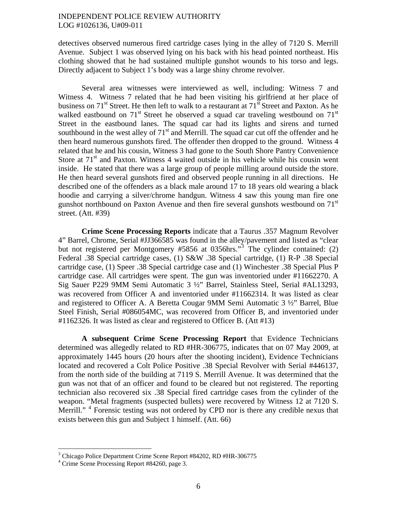detectives observed numerous fired cartridge cases lying in the alley of 7120 S. Merrill Avenue. Subject 1 was observed lying on his back with his head pointed northeast. His clothing showed that he had sustained multiple gunshot wounds to his torso and legs. Directly adjacent to Subject 1's body was a large shiny chrome revolver.

Several area witnesses were interviewed as well, including: Witness 7 and Witness 4. Witness 7 related that he had been visiting his girlfriend at her place of business on  $71<sup>st</sup>$  Street. He then left to walk to a restaurant at  $71<sup>st</sup>$  Street and Paxton. As he walked eastbound on 71<sup>st</sup> Street he observed a squad car traveling westbound on 71<sup>st</sup> Street in the eastbound lanes. The squad car had its lights and sirens and turned southbound in the west alley of  $71<sup>st</sup>$  and Merrill. The squad car cut off the offender and he then heard numerous gunshots fired. The offender then dropped to the ground. Witness 4 related that he and his cousin, Witness 3 had gone to the South Shore Pantry Convenience Store at  $71<sup>st</sup>$  and Paxton. Witness 4 waited outside in his vehicle while his cousin went inside. He stated that there was a large group of people milling around outside the store. He then heard several gunshots fired and observed people running in all directions. He described one of the offenders as a black male around 17 to 18 years old wearing a black hoodie and carrying a silver/chrome handgun. Witness 4 saw this young man fire one gunshot northbound on Paxton Avenue and then fire several gunshots westbound on  $71<sup>st</sup>$ street. (Att. #39)

**Crime Scene Processing Reports** indicate that a Taurus .357 Magnum Revolver 4" Barrel, Chrome, Serial #JJ366585 was found in the alley/pavement and listed as "clear but not registered per Montgomery #5856 at 0[3](#page-5-0)56hrs."<sup>3</sup> The cylinder contained: (2) Federal .38 Special cartridge cases, (1) S&W .38 Special cartridge, (1) R-P .38 Special cartridge case, (1) Speer .38 Special cartridge case and (1) Winchester .38 Special Plus P cartridge case. All cartridges were spent. The gun was inventoried under #11662270. A Sig Sauer P229 9MM Semi Automatic 3 ½" Barrel, Stainless Steel, Serial #AL13293, was recovered from Officer A and inventoried under #11662314. It was listed as clear and registered to Officer A. A Beretta Cougar 9MM Semi Automatic 3 ½" Barrel, Blue Steel Finish, Serial #086054MC, was recovered from Officer B, and inventoried under #1162326. It was listed as clear and registered to Officer B. (Att #13)

**A subsequent Crime Scene Processing Report** that Evidence Technicians determined was allegedly related to RD #HR-306775, indicates that on 07 May 2009, at approximately 1445 hours (20 hours after the shooting incident), Evidence Technicians located and recovered a Colt Police Positive .38 Special Revolver with Serial #446137, from the north side of the building at 7119 S. Merrill Avenue. It was determined that the gun was not that of an officer and found to be cleared but not registered. The reporting technician also recovered six .38 Special fired cartridge cases from the cylinder of the weapon. "Metal fragments (suspected bullets) were recovered by Witness 12 at 7120 S. Merrill."<sup>[4](#page-5-1)</sup> Forensic testing was not ordered by CPD nor is there any credible nexus that exists between this gun and Subject 1 himself. (Att. 66)

<span id="page-5-0"></span> $\frac{3}{4}$ Chicago Police Department Crime Scene Report #84202, RD #HR-306775

<span id="page-5-1"></span><sup>&</sup>lt;sup>4</sup> Crime Scene Processing Report #84260, page 3.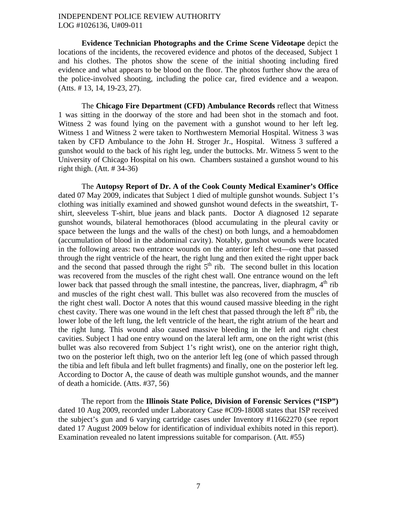**Evidence Technician Photographs and the Crime Scene Videotape** depict the locations of the incidents, the recovered evidence and photos of the deceased, Subject 1 and his clothes. The photos show the scene of the initial shooting including fired evidence and what appears to be blood on the floor. The photos further show the area of the police-involved shooting, including the police car, fired evidence and a weapon. (Atts. # 13, 14, 19-23, 27).

The **Chicago Fire Department (CFD) Ambulance Records** reflect that Witness 1 was sitting in the doorway of the store and had been shot in the stomach and foot. Witness 2 was found lying on the pavement with a gunshot wound to her left leg. Witness 1 and Witness 2 were taken to Northwestern Memorial Hospital. Witness 3 was taken by CFD Ambulance to the John H. Stroger Jr., Hospital. Witness 3 suffered a gunshot would to the back of his right leg, under the buttocks. Mr. Witness 5 went to the University of Chicago Hospital on his own. Chambers sustained a gunshot wound to his right thigh.  $(Att. # 34-36)$ 

The **Autopsy Report of Dr. A of the Cook County Medical Examiner's Office**  dated 07 May 2009, indicates that Subject 1 died of multiple gunshot wounds. Subject 1's clothing was initially examined and showed gunshot wound defects in the sweatshirt, Tshirt, sleeveless T-shirt, blue jeans and black pants. Doctor A diagnosed 12 separate gunshot wounds, bilateral hemothoraces (blood accumulating in the pleural cavity or space between the lungs and the walls of the chest) on both lungs, and a hemoabdomen (accumulation of blood in the abdominal cavity). Notably, gunshot wounds were located in the following areas: two entrance wounds on the anterior left chest—one that passed through the right ventricle of the heart, the right lung and then exited the right upper back and the second that passed through the right  $5<sup>th</sup>$  rib. The second bullet in this location was recovered from the muscles of the right chest wall. One entrance wound on the left lower back that passed through the small intestine, the pancreas, liver, diaphragm,  $4<sup>th</sup>$  rib and muscles of the right chest wall. This bullet was also recovered from the muscles of the right chest wall. Doctor A notes that this wound caused massive bleeding in the right chest cavity. There was one wound in the left chest that passed through the left  $8<sup>th</sup>$  rib, the lower lobe of the left lung, the left ventricle of the heart, the right atrium of the heart and the right lung. This wound also caused massive bleeding in the left and right chest cavities. Subject 1 had one entry wound on the lateral left arm, one on the right wrist (this bullet was also recovered from Subject 1's right wrist), one on the anterior right thigh, two on the posterior left thigh, two on the anterior left leg (one of which passed through the tibia and left fibula and left bullet fragments) and finally, one on the posterior left leg. According to Doctor A, the cause of death was multiple gunshot wounds, and the manner of death a homicide. (Atts. #37, 56)

The report from the **Illinois State Police, Division of Forensic Services ("ISP")**  dated 10 Aug 2009, recorded under Laboratory Case #C09-18008 states that ISP received the subject's gun and 6 varying cartridge cases under Inventory #11662270 (see report dated 17 August 2009 below for identification of individual exhibits noted in this report). Examination revealed no latent impressions suitable for comparison. (Att. #55)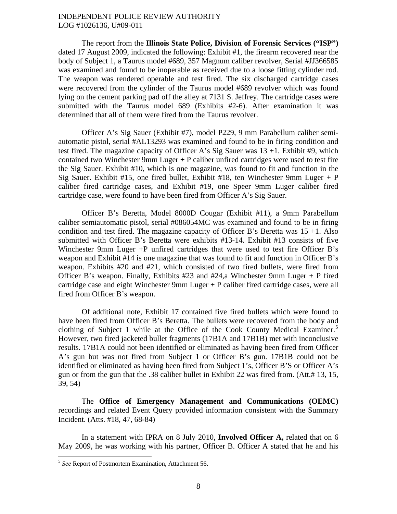The report from the **Illinois State Police, Division of Forensic Services ("ISP")**  dated 17 August 2009, indicated the following: Exhibit #1, the firearm recovered near the body of Subject 1, a Taurus model #689, 357 Magnum caliber revolver, Serial #JJ366585 was examined and found to be inoperable as received due to a loose fitting cylinder rod. The weapon was rendered operable and test fired. The six discharged cartridge cases were recovered from the cylinder of the Taurus model #689 revolver which was found lying on the cement parking pad off the alley at 7131 S. Jeffrey. The cartridge cases were submitted with the Taurus model 689 (Exhibits #2-6). After examination it was determined that all of them were fired from the Taurus revolver.

Officer A's Sig Sauer (Exhibit #7), model P229, 9 mm Parabellum caliber semiautomatic pistol, serial #AL13293 was examined and found to be in firing condition and test fired. The magazine capacity of Officer A's Sig Sauer was  $13 + 1$ . Exhibit #9, which contained two Winchester 9mm Luger  $+$  P caliber unfired cartridges were used to test fire the Sig Sauer. Exhibit #10, which is one magazine, was found to fit and function in the Sig Sauer. Exhibit #15, one fired bullet, Exhibit #18, ten Winchester 9mm Luger  $+ P$ caliber fired cartridge cases, and Exhibit #19, one Speer 9mm Luger caliber fired cartridge case, were found to have been fired from Officer A's Sig Sauer.

Officer B's Beretta, Model 8000D Cougar (Exhibit #11), a 9mm Parabellum caliber semiautomatic pistol, serial #086054MC was examined and found to be in firing condition and test fired. The magazine capacity of Officer B's Beretta was  $15 + 1$ . Also submitted with Officer B's Beretta were exhibits #13-14. Exhibit #13 consists of five Winchester 9mm Luger +P unfired cartridges that were used to test fire Officer B's weapon and Exhibit #14 is one magazine that was found to fit and function in Officer B's weapon. Exhibits #20 and #21, which consisted of two fired bullets, were fired from Officer B's weapon. Finally, Exhibits  $#23$  and  $#24$ , a Winchester 9mm Luger + P fired cartridge case and eight Winchester 9mm Luger + P caliber fired cartridge cases, were all fired from Officer B's weapon.

Of additional note, Exhibit 17 contained five fired bullets which were found to have been fired from Officer B's Beretta. The bullets were recovered from the body and clothing of Subject 1 while at the Office of the Cook County Medical Examiner.<sup>[5](#page-7-0)</sup> However, two fired jacketed bullet fragments (17B1A and 17B1B) met with inconclusive results. 17B1A could not been identified or eliminated as having been fired from Officer A's gun but was not fired from Subject 1 or Officer B's gun. 17B1B could not be identified or eliminated as having been fired from Subject 1's, Officer B'S or Officer A's gun or from the gun that the .38 caliber bullet in Exhibit 22 was fired from. (Att.# 13, 15, 39, 54)

The **Office of Emergency Management and Communications (OEMC)**  recordings and related Event Query provided information consistent with the Summary Incident. (Atts. #18, 47, 68-84)

In a statement with IPRA on 8 July 2010, **Involved Officer A,** related that on 6 May 2009, he was working with his partner, Officer B. Officer A stated that he and his

<span id="page-7-0"></span><sup>5</sup> *See* Report of Postmortem Examination, Attachment 56.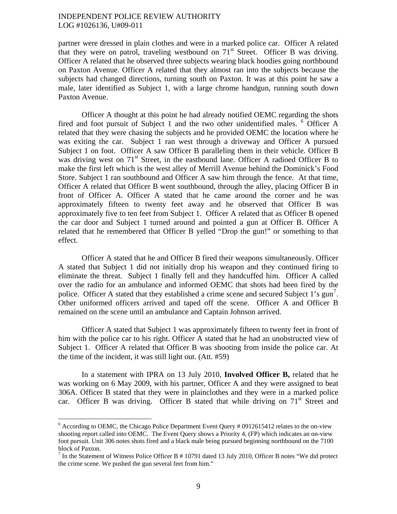partner were dressed in plain clothes and were in a marked police car. Officer A related that they were on patrol, traveling westbound on  $71<sup>st</sup>$  Street. Officer B was driving. Officer A related that he observed three subjects wearing black hoodies going northbound on Paxton Avenue. Officer A related that they almost ran into the subjects because the subjects had changed directions, turning south on Paxton. It was at this point he saw a male, later identified as Subject 1, with a large chrome handgun, running south down Paxton Avenue.

Officer A thought at this point he had already notified OEMC regarding the shots fired and foot pursuit of Subject 1 and the two other unidentified males. <sup>[6](#page-8-0)</sup> Officer A related that they were chasing the subjects and he provided OEMC the location where he was exiting the car. Subject 1 ran west through a driveway and Officer A pursued Subject 1 on foot. Officer A saw Officer B paralleling them in their vehicle. Officer B was driving west on 71<sup>st</sup> Street, in the eastbound lane. Officer A radioed Officer B to make the first left which is the west alley of Merrill Avenue behind the Dominick's Food Store. Subject 1 ran southbound and Officer A saw him through the fence. At that time, Officer A related that Officer B went southbound, through the alley, placing Officer B in front of Officer A. Officer A stated that he came around the corner and he was approximately fifteen to twenty feet away and he observed that Officer B was approximately five to ten feet from Subject 1. Officer A related that as Officer B opened the car door and Subject 1 turned around and pointed a gun at Officer B. Officer A related that he remembered that Officer B yelled "Drop the gun!" or something to that effect.

Officer A stated that he and Officer B fired their weapons simultaneously. Officer A stated that Subject 1 did not initially drop his weapon and they continued firing to eliminate the threat. Subject 1 finally fell and they handcuffed him. Officer A called over the radio for an ambulance and informed OEMC that shots had been fired by the police. Officer A stated that they established a crime scene and secured Subject 1's  $\text{gun}^7$  $\text{gun}^7$ . Other uniformed officers arrived and taped off the scene. Officer A and Officer B remained on the scene until an ambulance and Captain Johnson arrived.

Officer A stated that Subject 1 was approximately fifteen to twenty feet in front of him with the police car to his right. Officer A stated that he had an unobstructed view of Subject 1. Officer A related that Officer B was shooting from inside the police car. At the time of the incident, it was still light out. (Att. #59)

In a statement with IPRA on 13 July 2010, **Involved Officer B,** related that he was working on 6 May 2009, with his partner, Officer A and they were assigned to beat 306A. Officer B stated that they were in plainclothes and they were in a marked police car. Officer B was driving. Officer B stated that while driving on 71<sup>st</sup> Street and

<span id="page-8-0"></span> $6$  According to OEMC, the Chicago Police Department Event Query # 0912615412 relates to the on-view shooting report called into OEMC. The Event Query shows a Priority 4, (FP) which indicates an on-view foot pursuit. Unit 306 notes shots fired and a black male being pursued beginning northbound on the 7100 block of Paxton.

<span id="page-8-1"></span><sup>&</sup>lt;sup>7</sup> In the Statement of Witness Police Officer B  $# 10791$  dated 13 July 2010, Officer B notes "We did protect the crime scene. We pushed the gun several feet from him."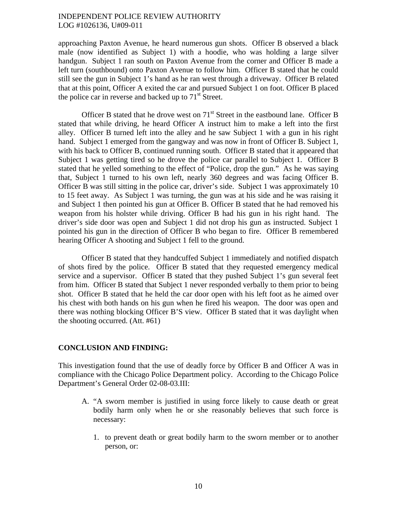approaching Paxton Avenue, he heard numerous gun shots. Officer B observed a black male (now identified as Subject 1) with a hoodie, who was holding a large silver handgun. Subject 1 ran south on Paxton Avenue from the corner and Officer B made a left turn (southbound) onto Paxton Avenue to follow him. Officer B stated that he could still see the gun in Subject 1's hand as he ran west through a driveway. Officer B related that at this point, Officer A exited the car and pursued Subject 1 on foot. Officer B placed the police car in reverse and backed up to  $71<sup>st</sup>$  Street.

Officer B stated that he drove west on  $71<sup>st</sup>$  Street in the eastbound lane. Officer B stated that while driving, he heard Officer A instruct him to make a left into the first alley. Officer B turned left into the alley and he saw Subject 1 with a gun in his right hand. Subject 1 emerged from the gangway and was now in front of Officer B. Subject 1, with his back to Officer B, continued running south. Officer B stated that it appeared that Subject 1 was getting tired so he drove the police car parallel to Subject 1. Officer B stated that he yelled something to the effect of "Police, drop the gun." As he was saying that, Subject 1 turned to his own left, nearly 360 degrees and was facing Officer B. Officer B was still sitting in the police car, driver's side. Subject 1 was approximately 10 to 15 feet away. As Subject 1 was turning, the gun was at his side and he was raising it and Subject 1 then pointed his gun at Officer B. Officer B stated that he had removed his weapon from his holster while driving. Officer B had his gun in his right hand. The driver's side door was open and Subject 1 did not drop his gun as instructed. Subject 1 pointed his gun in the direction of Officer B who began to fire. Officer B remembered hearing Officer A shooting and Subject 1 fell to the ground.

Officer B stated that they handcuffed Subject 1 immediately and notified dispatch of shots fired by the police. Officer B stated that they requested emergency medical service and a supervisor. Officer B stated that they pushed Subject 1's gun several feet from him. Officer B stated that Subject 1 never responded verbally to them prior to being shot. Officer B stated that he held the car door open with his left foot as he aimed over his chest with both hands on his gun when he fired his weapon. The door was open and there was nothing blocking Officer B'S view. Officer B stated that it was daylight when the shooting occurred. (Att. #61)

#### **CONCLUSION AND FINDING:**

This investigation found that the use of deadly force by Officer B and Officer A was in compliance with the Chicago Police Department policy. According to the Chicago Police Department's General Order 02-08-03.III:

- A. "A sworn member is justified in using force likely to cause death or great bodily harm only when he or she reasonably believes that such force is necessary:
	- 1. to prevent death or great bodily harm to the sworn member or to another person, or: